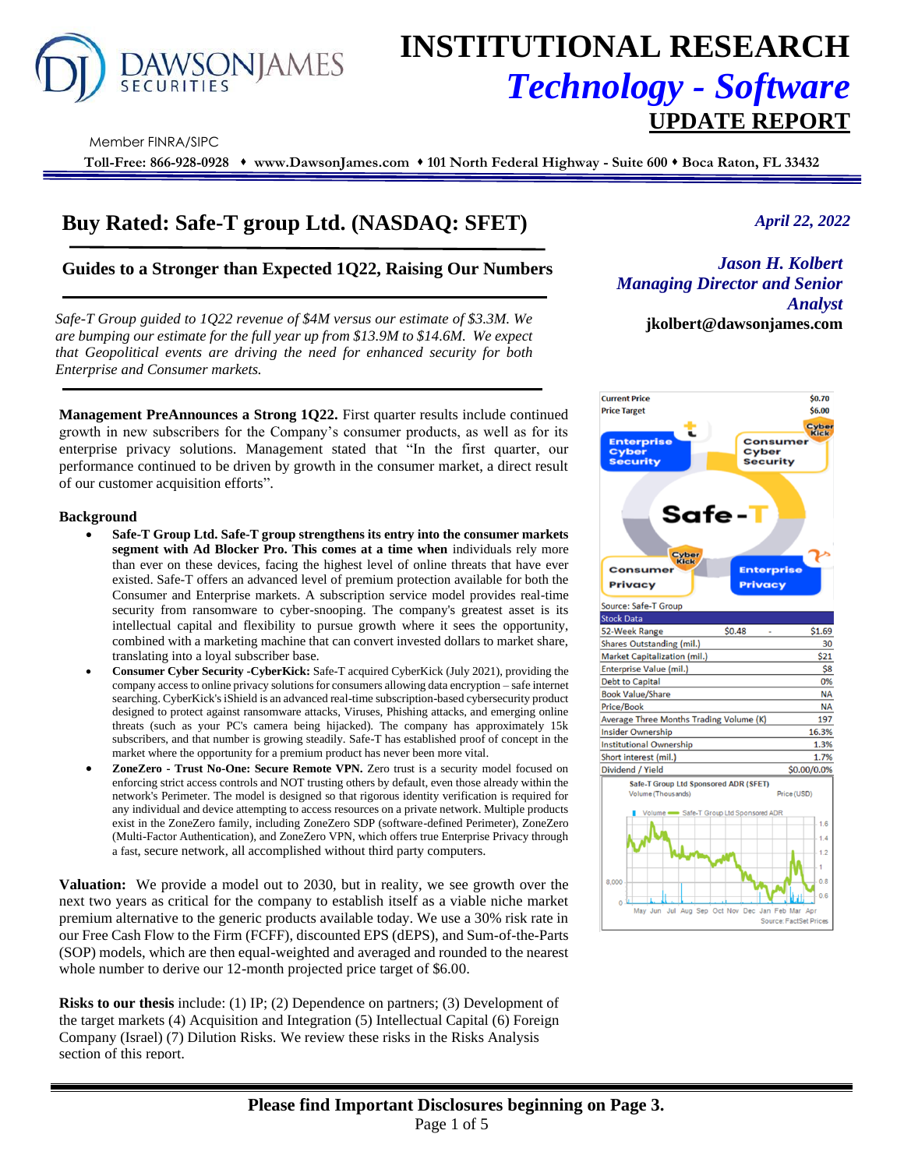

# **INSTITUTIONAL RESEARCH** *Technology - Software*  **UPDATE REPORT**

Member FINRA/SIPC

**Toll-Free: 866-928-0928** ⬧ **www.DawsonJames.com** ⬧ **101 North Federal Highway - Suite 600** ⬧ **Boca Raton, FL 33432**

# **Buy Rated: Safe-T group Ltd. (NASDAQ: SFET)**

# **Guides to a Stronger than Expected 1Q22, Raising Our Numbers** *Jason H. Kolbert*

*Safe-T Group guided to 1Q22 revenue of \$4M versus our estimate of \$3.3M. We* **jkolbert@dawsonjames.com** *are bumping our estimate for the full year up from \$13.9M to \$14.6M. We expect that Geopolitical events are driving the need for enhanced security for both Enterprise and Consumer markets.* 

**Management PreAnnounces a Strong 1Q22.** First quarter results include continued growth in new subscribers for the Company's consumer products, as well as for its enterprise privacy solutions. Management stated that "In the first quarter, our performance continued to be driven by growth in the consumer market, a direct result of our customer acquisition efforts".

#### **Background**

- **Safe-T Group Ltd. Safe-T group strengthens its entry into the consumer markets segment with Ad Blocker Pro. This comes at a time when** individuals rely more than ever on these devices, facing the highest level of online threats that have ever existed. Safe-T offers an advanced level of premium protection available for both the Consumer and Enterprise markets. A subscription service model provides real-time security from ransomware to cyber-snooping. The company's greatest asset is its intellectual capital and flexibility to pursue growth where it sees the opportunity, combined with a marketing machine that can convert invested dollars to market share, translating into a loyal subscriber base.
- **Consumer Cyber Security -CyberKick:** Safe-T acquired CyberKick (July 2021), providing the company access to online privacy solutions for consumers allowing data encryption – safe internet searching. CyberKick's iShield is an advanced real-time subscription-based cybersecurity product designed to protect against ransomware attacks, Viruses, Phishing attacks, and emerging online threats (such as your PC's camera being hijacked). The company has approximately 15k subscribers, and that number is growing steadily. Safe-T has established proof of concept in the market where the opportunity for a premium product has never been more vital.
- **ZoneZero - Trust No-One: Secure Remote VPN.** Zero trust is a security model focused on enforcing strict access controls and NOT trusting others by default, even those already within the network's Perimeter. The model is designed so that rigorous identity verification is required for any individual and device attempting to access resources on a private network. Multiple products exist in the ZoneZero family, including ZoneZero SDP (software-defined Perimeter), ZoneZero (Multi-Factor Authentication), and ZoneZero VPN, which offers true Enterprise Privacy through a fast, secure network, all accomplished without third party computers.

**Valuation:** We provide a model out to 2030, but in reality, we see growth over the next two years as critical for the company to establish itself as a viable niche market premium alternative to the generic products available today. We use a 30% risk rate in our Free Cash Flow to the Firm (FCFF), discounted EPS (dEPS), and Sum-of-the-Parts (SOP) models, which are then equal-weighted and averaged and rounded to the nearest whole number to derive our 12-month projected price target of \$6.00.

**Risks to our thesis** include: (1) IP; (2) Dependence on partners; (3) Development of the target markets (4) Acquisition and Integration (5) Intellectual Capital (6) Foreign Company (Israel) (7) Dilution Risks. We review these risks in the Risks Analysis section of this report.

## *April 22, 2022*

**Industrial Analyst** *Managing Director and Senior* 

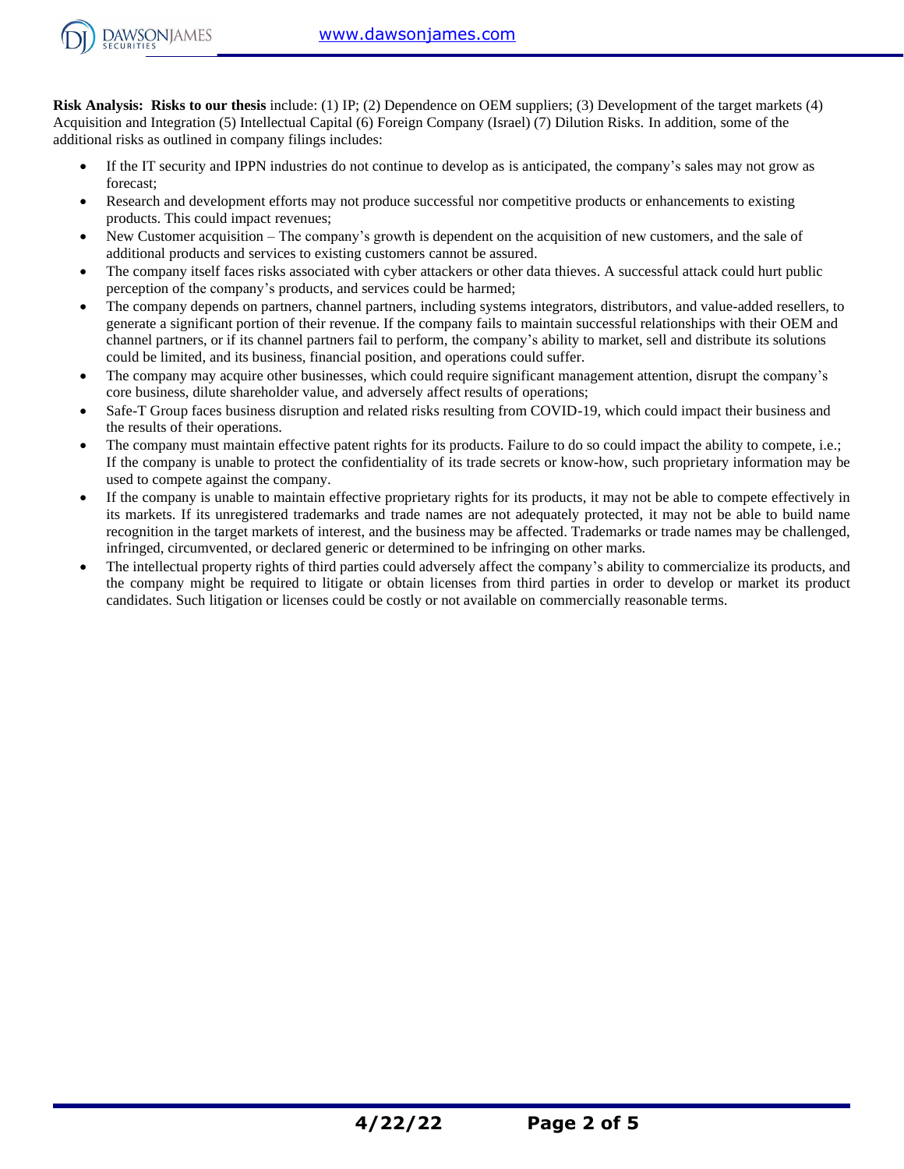

**Risk Analysis: Risks to our thesis** include: (1) IP; (2) Dependence on OEM suppliers; (3) Development of the target markets (4) Acquisition and Integration (5) Intellectual Capital (6) Foreign Company (Israel) (7) Dilution Risks. In addition, some of the additional risks as outlined in company filings includes:

- If the IT security and IPPN industries do not continue to develop as is anticipated, the company's sales may not grow as forecast;
- Research and development efforts may not produce successful nor competitive products or enhancements to existing products. This could impact revenues;
- New Customer acquisition The company's growth is dependent on the acquisition of new customers, and the sale of additional products and services to existing customers cannot be assured.
- The company itself faces risks associated with cyber attackers or other data thieves. A successful attack could hurt public perception of the company's products, and services could be harmed;
- The company depends on partners, channel partners, including systems integrators, distributors, and value-added resellers, to generate a significant portion of their revenue. If the company fails to maintain successful relationships with their OEM and channel partners, or if its channel partners fail to perform, the company's ability to market, sell and distribute its solutions could be limited, and its business, financial position, and operations could suffer.
- The company may acquire other businesses, which could require significant management attention, disrupt the company's core business, dilute shareholder value, and adversely affect results of operations;
- Safe-T Group faces business disruption and related risks resulting from COVID-19, which could impact their business and the results of their operations.
- The company must maintain effective patent rights for its products. Failure to do so could impact the ability to compete, i.e.; If the company is unable to protect the confidentiality of its trade secrets or know-how, such proprietary information may be used to compete against the company.
- If the company is unable to maintain effective proprietary rights for its products, it may not be able to compete effectively in its markets. If its unregistered trademarks and trade names are not adequately protected, it may not be able to build name recognition in the target markets of interest, and the business may be affected. Trademarks or trade names may be challenged, infringed, circumvented, or declared generic or determined to be infringing on other marks.
- The intellectual property rights of third parties could adversely affect the company's ability to commercialize its products, and the company might be required to litigate or obtain licenses from third parties in order to develop or market its product candidates. Such litigation or licenses could be costly or not available on commercially reasonable terms.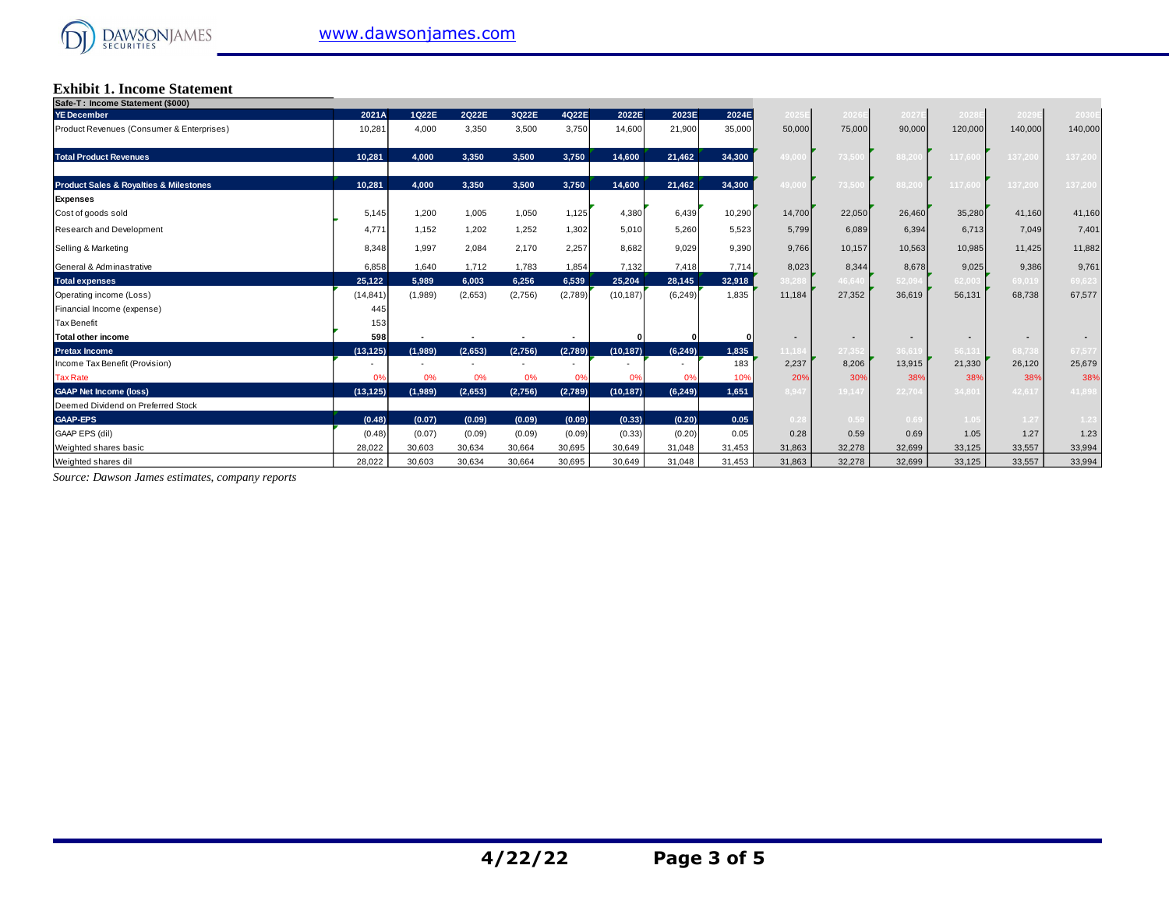# **Exhibit 1. Income Statement Safe-T : Income Statement (\$000)**

|           |         |         |         |         |           |          |        |                |                | 2027E  | 2028           |                | 2030E          |
|-----------|---------|---------|---------|---------|-----------|----------|--------|----------------|----------------|--------|----------------|----------------|----------------|
| 10,281    | 4,000   | 3,350   | 3,500   | 3,750   | 14,600    | 21,900   | 35,000 | 50,000         | 75,000         | 90,000 | 120,000        | 140,000        | 140,000        |
| 10,281    | 4,000   | 3,350   | 3.500   | 3.750   | 14.600    | 21,462   | 34,300 | 49.000         | 73.500         | 88.200 | 117.60         | 137.20         | 137,200        |
| 10,281    | 4,000   | 3,350   | 3,500   | 3,750   | 14,600    | 21,462   | 34,300 | 49,000         | 73,500         | 88,200 | 117,60         | 137,20         | 137,200        |
|           |         |         |         |         |           |          |        |                |                |        |                |                |                |
| 5,145     | 1,200   | 1,005   | 1,050   | 1,125   | 4,380     | 6,439    | 10,290 | 14,700         | 22,050         | 26,460 | 35,280         | 41,160         | 41,160         |
| 4,771     | 1,152   | 1,202   | 1,252   | 1,302   | 5,010     | 5,260    | 5,523  | 5.799          | 6,089          | 6,394  | 6,713          | 7,049          | 7,401          |
| 8,348     | 1,997   | 2,084   | 2,170   | 2,257   | 8,682     | 9,029    | 9,390  | 9,766          | 10,157         | 10,563 | 10,985         | 11,425         | 11,882         |
| 6,858     | 1,640   | 1,712   | 1,783   | 1,854   | 7,132     | 7,418    | 7,714  | 8,023          | 8,344          | 8,678  | 9,025          | 9,386          | 9,761          |
| 25,122    | 5,989   | 6,003   | 6.256   | 6.539   | 25.204    | 28,145   | 32,918 | 38.288         | 46.640         | 52.094 | 62.003         | 69.019         | 69,623         |
| (14, 841) | (1,989) | (2,653) | (2,756) | (2,789) | (10, 187) | (6, 249) | 1,835  | 11,184         | 27,352         | 36,619 | 56,131         | 68,738         | 67,577         |
| 445       |         |         |         |         |           |          |        |                |                |        |                |                |                |
| 153       |         |         |         |         |           |          |        |                |                |        |                |                |                |
| 598       |         |         |         |         |           |          |        | $\blacksquare$ | $\blacksquare$ |        | $\blacksquare$ | $\blacksquare$ | $\blacksquare$ |
| (13, 125) | (1,989) | (2,653) | (2,756) | (2,789) | (10, 187) | (6, 249) | 1.835  | 11,184         | 27.352         | 36.619 | 56,131         | 68,73          | 67,577         |
|           |         |         |         |         |           |          | 183    | 2,237          | 8,206          | 13,915 | 21,330         | 26,120         | 25,679         |
| 0%        | 0%      | 0%      | 0%      | 0%      | 0%        | 0%       | 10%    | 20%            | 30%            | 38%    | 38%            | 38%            | 38%            |
| (13, 125) | (1,989) | (2,653) | (2,756) | (2,789) | (10, 187) | (6, 249) | 1,651  | 8.947          | 19,147         | 22.704 | 34,801         | 42.617         | 41,898         |
|           |         |         |         |         |           |          |        |                |                |        |                |                |                |
| (0.48)    | (0.07)  | (0.09)  | (0.09)  | (0.09)  | (0.33)    | (0.20)   | 0.05   | 0.28           | 0.59           | 0.69   | 1.05           | 1.27           | 1.23           |
| (0.48)    | (0.07)  | (0.09)  | (0.09)  | (0.09)  | (0.33)    | (0.20)   | 0.05   | 0.28           | 0.59           | 0.69   | 1.05           | 1.27           | 1.23           |
| 28,022    | 30,603  | 30,634  | 30,664  | 30,695  | 30,649    | 31,048   | 31,453 | 31,863         | 32,278         | 32,699 | 33,125         | 33,557         | 33,994         |
| 28,022    | 30,603  | 30,634  | 30,664  | 30,695  | 30,649    | 31,048   | 31,453 | 31,863         | 32,278         | 32,699 | 33,125         | 33,557         | 33,994         |
|           | 2021A   | 1022E   | 2Q22E   | 3Q22E   | 4022E     | 2022E    | 2023E  | 2024E          | 2025E          | 2026E  |                |                | 2029           |

*Source: Dawson James estimates, company reports*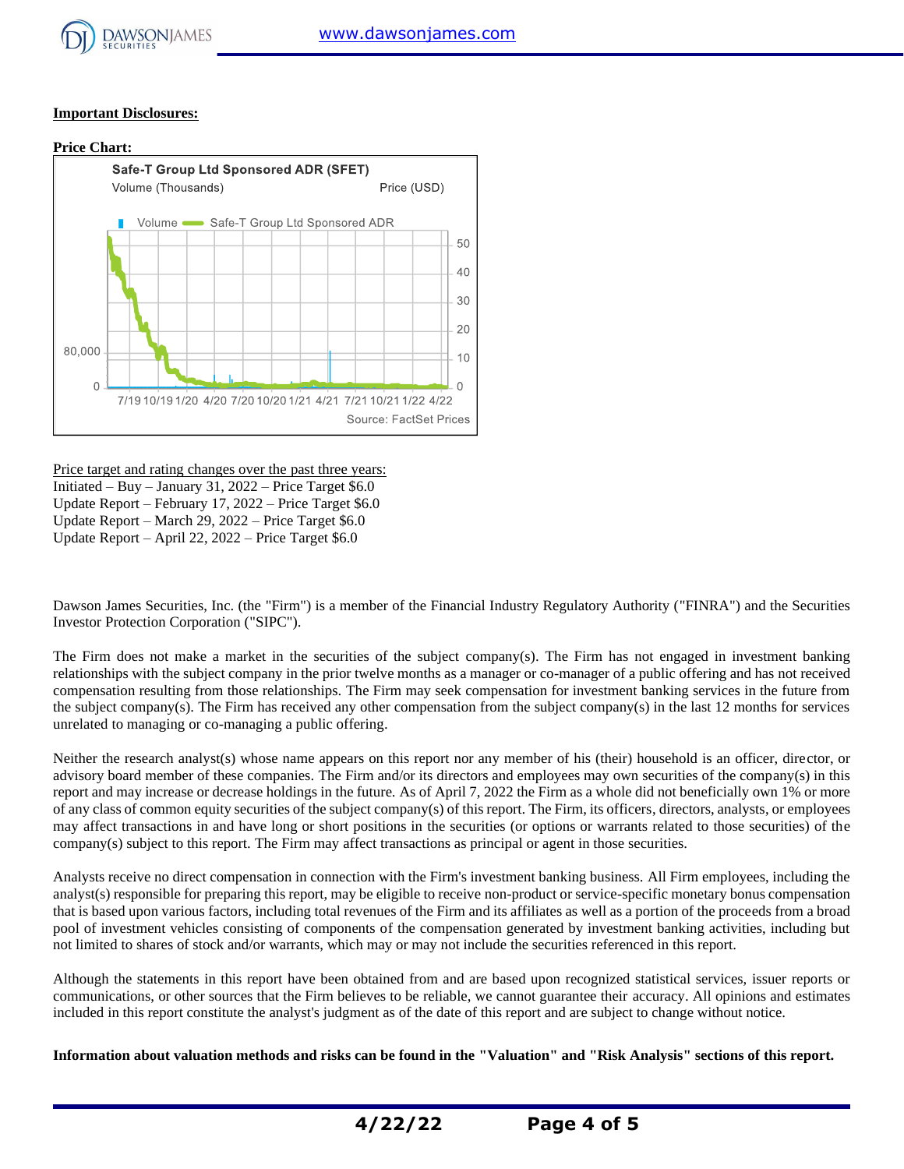

### **Important Disclosures:**



Price target and rating changes over the past three years: Initiated – Buy – January 31, 2022 – Price Target  $$6.0$ Update Report – February 17, 2022 – Price Target \$6.0 Update Report – March 29, 2022 – Price Target \$6.0 Update Report – April 22, 2022 – Price Target \$6.0

Dawson James Securities, Inc. (the "Firm") is a member of the Financial Industry Regulatory Authority ("FINRA") and the Securities Investor Protection Corporation ("SIPC").

The Firm does not make a market in the securities of the subject company(s). The Firm has not engaged in investment banking relationships with the subject company in the prior twelve months as a manager or co-manager of a public offering and has not received compensation resulting from those relationships. The Firm may seek compensation for investment banking services in the future from the subject company(s). The Firm has received any other compensation from the subject company(s) in the last 12 months for services unrelated to managing or co-managing a public offering.

Neither the research analyst(s) whose name appears on this report nor any member of his (their) household is an officer, director, or advisory board member of these companies. The Firm and/or its directors and employees may own securities of the company(s) in this report and may increase or decrease holdings in the future. As of April 7, 2022 the Firm as a whole did not beneficially own 1% or more of any class of common equity securities of the subject company(s) of this report. The Firm, its officers, directors, analysts, or employees may affect transactions in and have long or short positions in the securities (or options or warrants related to those securities) of the company(s) subject to this report. The Firm may affect transactions as principal or agent in those securities.

Analysts receive no direct compensation in connection with the Firm's investment banking business. All Firm employees, including the analyst(s) responsible for preparing this report, may be eligible to receive non-product or service-specific monetary bonus compensation that is based upon various factors, including total revenues of the Firm and its affiliates as well as a portion of the proceeds from a broad pool of investment vehicles consisting of components of the compensation generated by investment banking activities, including but not limited to shares of stock and/or warrants, which may or may not include the securities referenced in this report.

Although the statements in this report have been obtained from and are based upon recognized statistical services, issuer reports or communications, or other sources that the Firm believes to be reliable, we cannot guarantee their accuracy. All opinions and estimates included in this report constitute the analyst's judgment as of the date of this report and are subject to change without notice.

**Information about valuation methods and risks can be found in the "Valuation" and "Risk Analysis" sections of this report.**